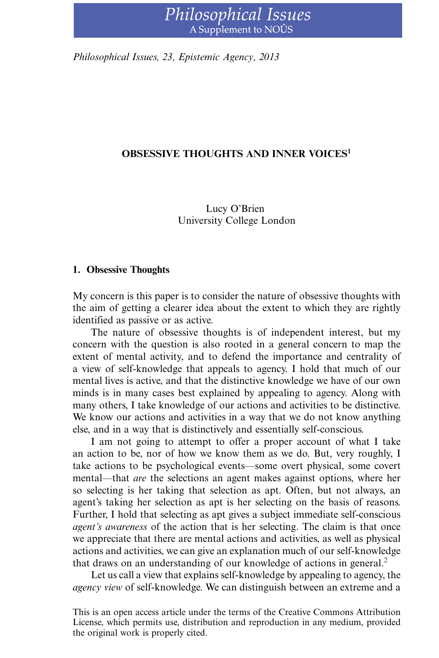# Philosophical Issues A Supplement to NOUS

*Philosophical Issues, 23, Epistemic Agency, 2013*

# **OBSESSIVE THOUGHTS AND INNER VOICES1**

# Lucy O'Brien University College London

## **1. Obsessive Thoughts**

My concern is this paper is to consider the nature of obsessive thoughts with the aim of getting a clearer idea about the extent to which they are rightly identified as passive or as active.

The nature of obsessive thoughts is of independent interest, but my concern with the question is also rooted in a general concern to map the extent of mental activity, and to defend the importance and centrality of a view of self-knowledge that appeals to agency. I hold that much of our mental lives is active, and that the distinctive knowledge we have of our own minds is in many cases best explained by appealing to agency. Along with many others, I take knowledge of our actions and activities to be distinctive. We know our actions and activities in a way that we do not know anything else, and in a way that is distinctively and essentially self-conscious.

I am not going to attempt to offer a proper account of what I take an action to be, nor of how we know them as we do. But, very roughly, I take actions to be psychological events—some overt physical, some covert mental—that *are* the selections an agent makes against options, where her so selecting is her taking that selection as apt. Often, but not always, an agent's taking her selection as apt is her selecting on the basis of reasons. Further, I hold that selecting as apt gives a subject immediate self-conscious *agent's awareness* of the action that is her selecting. The claim is that once we appreciate that there are mental actions and activities, as well as physical actions and activities, we can give an explanation much of our self-knowledge that draws on an understanding of our knowledge of actions in general.<sup>2</sup>

Let us call a view that explains self-knowledge by appealing to agency, the *agency view* of self-knowledge. We can distinguish between an extreme and a

This is an open access article under the terms of the Creative Commons Attribution License, which permits use, distribution and reproduction in any medium, provided the original work is properly cited.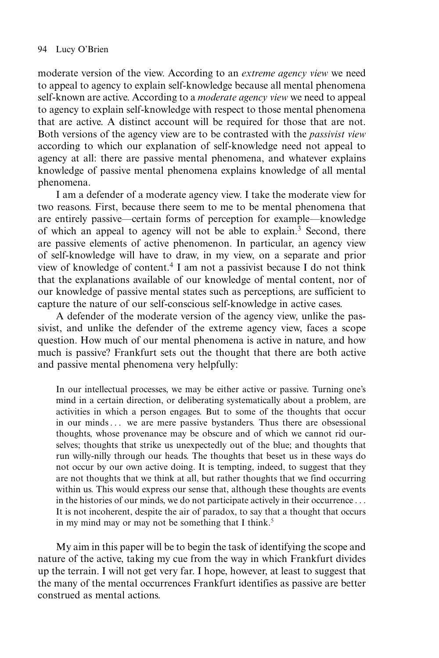moderate version of the view. According to an *extreme agency view* we need to appeal to agency to explain self-knowledge because all mental phenomena self-known are active. According to a *moderate agency view* we need to appeal to agency to explain self-knowledge with respect to those mental phenomena that are active. A distinct account will be required for those that are not. Both versions of the agency view are to be contrasted with the *passivist view* according to which our explanation of self-knowledge need not appeal to agency at all: there are passive mental phenomena, and whatever explains knowledge of passive mental phenomena explains knowledge of all mental phenomena.

I am a defender of a moderate agency view. I take the moderate view for two reasons. First, because there seem to me to be mental phenomena that are entirely passive—certain forms of perception for example—knowledge of which an appeal to agency will not be able to explain.<sup>3</sup> Second, there are passive elements of active phenomenon. In particular, an agency view of self-knowledge will have to draw, in my view, on a separate and prior view of knowledge of content.4 I am not a passivist because I do not think that the explanations available of our knowledge of mental content, nor of our knowledge of passive mental states such as perceptions, are sufficient to capture the nature of our self-conscious self-knowledge in active cases.

A defender of the moderate version of the agency view, unlike the passivist, and unlike the defender of the extreme agency view, faces a scope question. How much of our mental phenomena is active in nature, and how much is passive? Frankfurt sets out the thought that there are both active and passive mental phenomena very helpfully:

In our intellectual processes, we may be either active or passive. Turning one's mind in a certain direction, or deliberating systematically about a problem, are activities in which a person engages. But to some of the thoughts that occur in our minds ... we are mere passive bystanders. Thus there are obsessional thoughts, whose provenance may be obscure and of which we cannot rid ourselves; thoughts that strike us unexpectedly out of the blue; and thoughts that run willy-nilly through our heads. The thoughts that beset us in these ways do not occur by our own active doing. It is tempting, indeed, to suggest that they are not thoughts that we think at all, but rather thoughts that we find occurring within us. This would express our sense that, although these thoughts are events in the histories of our minds, we do not participate actively in their occurrence . . . It is not incoherent, despite the air of paradox, to say that a thought that occurs in my mind may or may not be something that I think.<sup>5</sup>

My aim in this paper will be to begin the task of identifying the scope and nature of the active, taking my cue from the way in which Frankfurt divides up the terrain. I will not get very far. I hope, however, at least to suggest that the many of the mental occurrences Frankfurt identifies as passive are better construed as mental actions.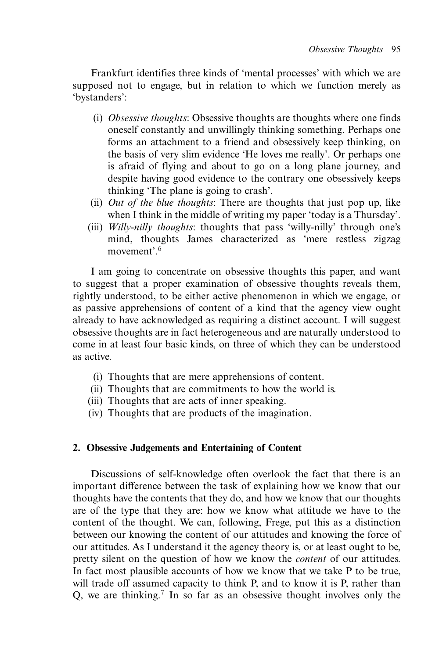Frankfurt identifies three kinds of 'mental processes' with which we are supposed not to engage, but in relation to which we function merely as 'bystanders':

- (i) *Obsessive thoughts*: Obsessive thoughts are thoughts where one finds oneself constantly and unwillingly thinking something. Perhaps one forms an attachment to a friend and obsessively keep thinking, on the basis of very slim evidence 'He loves me really'. Or perhaps one is afraid of flying and about to go on a long plane journey, and despite having good evidence to the contrary one obsessively keeps thinking 'The plane is going to crash'.
- (ii) *Out of the blue thoughts*: There are thoughts that just pop up, like when I think in the middle of writing my paper 'today is a Thursday'.
- (iii) *Willy-nilly thoughts*: thoughts that pass 'willy-nilly' through one's mind, thoughts James characterized as 'mere restless zigzag movement<sup>'6</sup>

I am going to concentrate on obsessive thoughts this paper, and want to suggest that a proper examination of obsessive thoughts reveals them, rightly understood, to be either active phenomenon in which we engage, or as passive apprehensions of content of a kind that the agency view ought already to have acknowledged as requiring a distinct account. I will suggest obsessive thoughts are in fact heterogeneous and are naturally understood to come in at least four basic kinds, on three of which they can be understood as active.

- (i) Thoughts that are mere apprehensions of content.
- (ii) Thoughts that are commitments to how the world is.
- (iii) Thoughts that are acts of inner speaking.
- (iv) Thoughts that are products of the imagination.

## **2. Obsessive Judgements and Entertaining of Content**

Discussions of self-knowledge often overlook the fact that there is an important difference between the task of explaining how we know that our thoughts have the contents that they do, and how we know that our thoughts are of the type that they are: how we know what attitude we have to the content of the thought. We can, following, Frege, put this as a distinction between our knowing the content of our attitudes and knowing the force of our attitudes. As I understand it the agency theory is, or at least ought to be, pretty silent on the question of how we know the *content* of our attitudes. In fact most plausible accounts of how we know that we take P to be true, will trade off assumed capacity to think P, and to know it is P, rather than Q, we are thinking.<sup>7</sup> In so far as an obsessive thought involves only the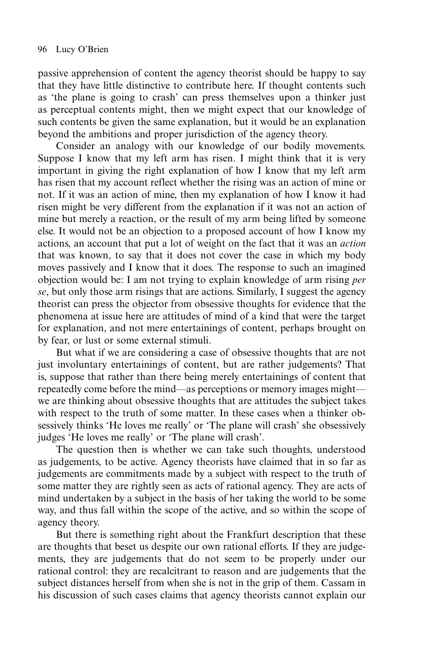passive apprehension of content the agency theorist should be happy to say that they have little distinctive to contribute here. If thought contents such as 'the plane is going to crash' can press themselves upon a thinker just as perceptual contents might, then we might expect that our knowledge of such contents be given the same explanation, but it would be an explanation beyond the ambitions and proper jurisdiction of the agency theory.

Consider an analogy with our knowledge of our bodily movements. Suppose I know that my left arm has risen. I might think that it is very important in giving the right explanation of how I know that my left arm has risen that my account reflect whether the rising was an action of mine or not. If it was an action of mine, then my explanation of how I know it had risen might be very different from the explanation if it was not an action of mine but merely a reaction, or the result of my arm being lifted by someone else. It would not be an objection to a proposed account of how I know my actions, an account that put a lot of weight on the fact that it was an *action* that was known, to say that it does not cover the case in which my body moves passively and I know that it does. The response to such an imagined objection would be: I am not trying to explain knowledge of arm rising *per se*, but only those arm risings that are actions. Similarly, I suggest the agency theorist can press the objector from obsessive thoughts for evidence that the phenomena at issue here are attitudes of mind of a kind that were the target for explanation, and not mere entertainings of content, perhaps brought on by fear, or lust or some external stimuli.

But what if we are considering a case of obsessive thoughts that are not just involuntary entertainings of content, but are rather judgements? That is, suppose that rather than there being merely entertainings of content that repeatedly come before the mind—as perceptions or memory images might we are thinking about obsessive thoughts that are attitudes the subject takes with respect to the truth of some matter. In these cases when a thinker obsessively thinks 'He loves me really' or 'The plane will crash' she obsessively judges 'He loves me really' or 'The plane will crash'.

The question then is whether we can take such thoughts, understood as judgements, to be active. Agency theorists have claimed that in so far as judgements are commitments made by a subject with respect to the truth of some matter they are rightly seen as acts of rational agency. They are acts of mind undertaken by a subject in the basis of her taking the world to be some way, and thus fall within the scope of the active, and so within the scope of agency theory.

But there is something right about the Frankfurt description that these are thoughts that beset us despite our own rational efforts. If they are judgements, they are judgements that do not seem to be properly under our rational control: they are recalcitrant to reason and are judgements that the subject distances herself from when she is not in the grip of them. Cassam in his discussion of such cases claims that agency theorists cannot explain our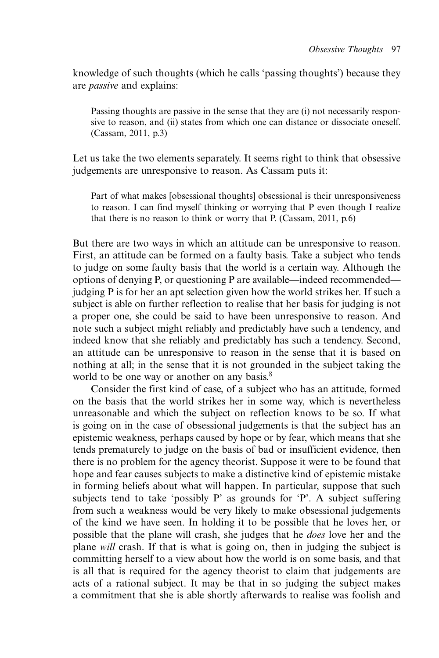knowledge of such thoughts (which he calls 'passing thoughts') because they are *passive* and explains:

Passing thoughts are passive in the sense that they are (i) not necessarily responsive to reason, and (ii) states from which one can distance or dissociate oneself. (Cassam, 2011, p.3)

Let us take the two elements separately. It seems right to think that obsessive judgements are unresponsive to reason. As Cassam puts it:

Part of what makes [obsessional thoughts] obsessional is their unresponsiveness to reason. I can find myself thinking or worrying that P even though I realize that there is no reason to think or worry that P. (Cassam, 2011, p.6)

But there are two ways in which an attitude can be unresponsive to reason. First, an attitude can be formed on a faulty basis. Take a subject who tends to judge on some faulty basis that the world is a certain way. Although the options of denying P, or questioning P are available—indeed recommended judging P is for her an apt selection given how the world strikes her. If such a subject is able on further reflection to realise that her basis for judging is not a proper one, she could be said to have been unresponsive to reason. And note such a subject might reliably and predictably have such a tendency, and indeed know that she reliably and predictably has such a tendency. Second, an attitude can be unresponsive to reason in the sense that it is based on nothing at all; in the sense that it is not grounded in the subject taking the world to be one way or another on any basis. $8$ 

Consider the first kind of case, of a subject who has an attitude, formed on the basis that the world strikes her in some way, which is nevertheless unreasonable and which the subject on reflection knows to be so. If what is going on in the case of obsessional judgements is that the subject has an epistemic weakness, perhaps caused by hope or by fear, which means that she tends prematurely to judge on the basis of bad or insufficient evidence, then there is no problem for the agency theorist. Suppose it were to be found that hope and fear causes subjects to make a distinctive kind of epistemic mistake in forming beliefs about what will happen. In particular, suppose that such subjects tend to take 'possibly P' as grounds for 'P'. A subject suffering from such a weakness would be very likely to make obsessional judgements of the kind we have seen. In holding it to be possible that he loves her, or possible that the plane will crash, she judges that he *does* love her and the plane *will* crash. If that is what is going on, then in judging the subject is committing herself to a view about how the world is on some basis, and that is all that is required for the agency theorist to claim that judgements are acts of a rational subject. It may be that in so judging the subject makes a commitment that she is able shortly afterwards to realise was foolish and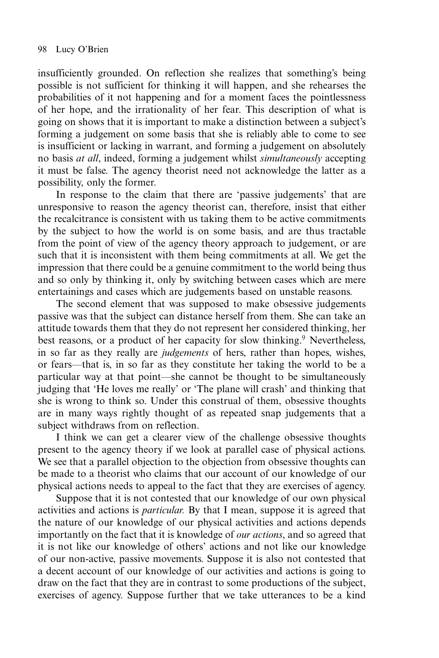insufficiently grounded. On reflection she realizes that something's being possible is not sufficient for thinking it will happen, and she rehearses the probabilities of it not happening and for a moment faces the pointlessness of her hope, and the irrationality of her fear. This description of what is going on shows that it is important to make a distinction between a subject's forming a judgement on some basis that she is reliably able to come to see is insufficient or lacking in warrant, and forming a judgement on absolutely no basis *at all*, indeed, forming a judgement whilst *simultaneously* accepting it must be false. The agency theorist need not acknowledge the latter as a possibility, only the former.

In response to the claim that there are 'passive judgements' that are unresponsive to reason the agency theorist can, therefore, insist that either the recalcitrance is consistent with us taking them to be active commitments by the subject to how the world is on some basis, and are thus tractable from the point of view of the agency theory approach to judgement, or are such that it is inconsistent with them being commitments at all. We get the impression that there could be a genuine commitment to the world being thus and so only by thinking it, only by switching between cases which are mere entertainings and cases which are judgements based on unstable reasons.

The second element that was supposed to make obsessive judgements passive was that the subject can distance herself from them. She can take an attitude towards them that they do not represent her considered thinking, her best reasons, or a product of her capacity for slow thinking.<sup>9</sup> Nevertheless, in so far as they really are *judgements* of hers, rather than hopes, wishes, or fears—that is, in so far as they constitute her taking the world to be a particular way at that point—she cannot be thought to be simultaneously judging that 'He loves me really' or 'The plane will crash' and thinking that she is wrong to think so. Under this construal of them, obsessive thoughts are in many ways rightly thought of as repeated snap judgements that a subject withdraws from on reflection.

I think we can get a clearer view of the challenge obsessive thoughts present to the agency theory if we look at parallel case of physical actions. We see that a parallel objection to the objection from obsessive thoughts can be made to a theorist who claims that our account of our knowledge of our physical actions needs to appeal to the fact that they are exercises of agency.

Suppose that it is not contested that our knowledge of our own physical activities and actions is *particular.* By that I mean, suppose it is agreed that the nature of our knowledge of our physical activities and actions depends importantly on the fact that it is knowledge of *our actions*, and so agreed that it is not like our knowledge of others' actions and not like our knowledge of our non-active, passive movements. Suppose it is also not contested that a decent account of our knowledge of our activities and actions is going to draw on the fact that they are in contrast to some productions of the subject, exercises of agency. Suppose further that we take utterances to be a kind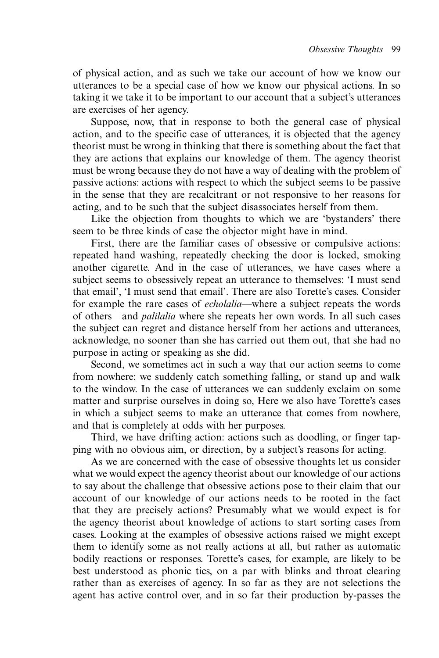of physical action, and as such we take our account of how we know our utterances to be a special case of how we know our physical actions. In so taking it we take it to be important to our account that a subject's utterances are exercises of her agency.

Suppose, now, that in response to both the general case of physical action, and to the specific case of utterances, it is objected that the agency theorist must be wrong in thinking that there is something about the fact that they are actions that explains our knowledge of them. The agency theorist must be wrong because they do not have a way of dealing with the problem of passive actions: actions with respect to which the subject seems to be passive in the sense that they are recalcitrant or not responsive to her reasons for acting, and to be such that the subject disassociates herself from them.

Like the objection from thoughts to which we are 'bystanders' there seem to be three kinds of case the objector might have in mind.

First, there are the familiar cases of obsessive or compulsive actions: repeated hand washing, repeatedly checking the door is locked, smoking another cigarette. And in the case of utterances, we have cases where a subject seems to obsessively repeat an utterance to themselves: 'I must send that email', 'I must send that email'. There are also Torette's cases. Consider for example the rare cases of *echolalia*—where a subject repeats the words of others—and *palilalia* where she repeats her own words. In all such cases the subject can regret and distance herself from her actions and utterances, acknowledge, no sooner than she has carried out them out, that she had no purpose in acting or speaking as she did.

Second, we sometimes act in such a way that our action seems to come from nowhere: we suddenly catch something falling, or stand up and walk to the window. In the case of utterances we can suddenly exclaim on some matter and surprise ourselves in doing so, Here we also have Torette's cases in which a subject seems to make an utterance that comes from nowhere, and that is completely at odds with her purposes.

Third, we have drifting action: actions such as doodling, or finger tapping with no obvious aim, or direction, by a subject's reasons for acting.

As we are concerned with the case of obsessive thoughts let us consider what we would expect the agency theorist about our knowledge of our actions to say about the challenge that obsessive actions pose to their claim that our account of our knowledge of our actions needs to be rooted in the fact that they are precisely actions? Presumably what we would expect is for the agency theorist about knowledge of actions to start sorting cases from cases. Looking at the examples of obsessive actions raised we might except them to identify some as not really actions at all, but rather as automatic bodily reactions or responses. Torette's cases, for example, are likely to be best understood as phonic tics, on a par with blinks and throat clearing rather than as exercises of agency. In so far as they are not selections the agent has active control over, and in so far their production by-passes the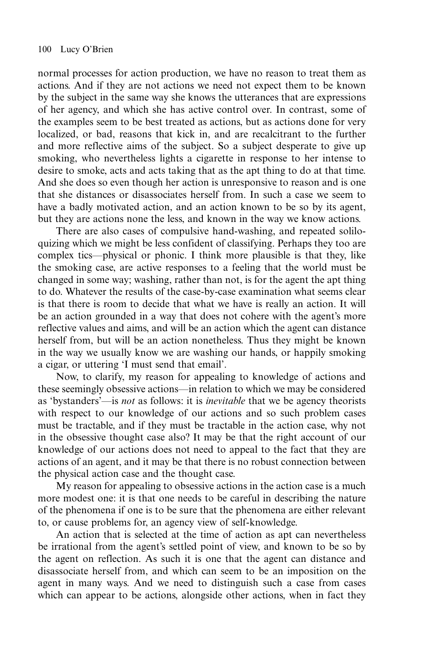normal processes for action production, we have no reason to treat them as actions. And if they are not actions we need not expect them to be known by the subject in the same way she knows the utterances that are expressions of her agency, and which she has active control over. In contrast, some of the examples seem to be best treated as actions, but as actions done for very localized, or bad, reasons that kick in, and are recalcitrant to the further and more reflective aims of the subject. So a subject desperate to give up smoking, who nevertheless lights a cigarette in response to her intense to desire to smoke, acts and acts taking that as the apt thing to do at that time. And she does so even though her action is unresponsive to reason and is one that she distances or disassociates herself from. In such a case we seem to have a badly motivated action, and an action known to be so by its agent, but they are actions none the less, and known in the way we know actions.

There are also cases of compulsive hand-washing, and repeated soliloquizing which we might be less confident of classifying. Perhaps they too are complex tics—physical or phonic. I think more plausible is that they, like the smoking case, are active responses to a feeling that the world must be changed in some way; washing, rather than not, is for the agent the apt thing to do. Whatever the results of the case-by-case examination what seems clear is that there is room to decide that what we have is really an action. It will be an action grounded in a way that does not cohere with the agent's more reflective values and aims, and will be an action which the agent can distance herself from, but will be an action nonetheless. Thus they might be known in the way we usually know we are washing our hands, or happily smoking a cigar, or uttering 'I must send that email'.

Now, to clarify, my reason for appealing to knowledge of actions and these seemingly obsessive actions—in relation to which we may be considered as 'bystanders'—is *not* as follows: it is *inevitable* that we be agency theorists with respect to our knowledge of our actions and so such problem cases must be tractable, and if they must be tractable in the action case, why not in the obsessive thought case also? It may be that the right account of our knowledge of our actions does not need to appeal to the fact that they are actions of an agent, and it may be that there is no robust connection between the physical action case and the thought case.

My reason for appealing to obsessive actions in the action case is a much more modest one: it is that one needs to be careful in describing the nature of the phenomena if one is to be sure that the phenomena are either relevant to, or cause problems for, an agency view of self-knowledge.

An action that is selected at the time of action as apt can nevertheless be irrational from the agent's settled point of view, and known to be so by the agent on reflection. As such it is one that the agent can distance and disassociate herself from, and which can seem to be an imposition on the agent in many ways. And we need to distinguish such a case from cases which can appear to be actions, alongside other actions, when in fact they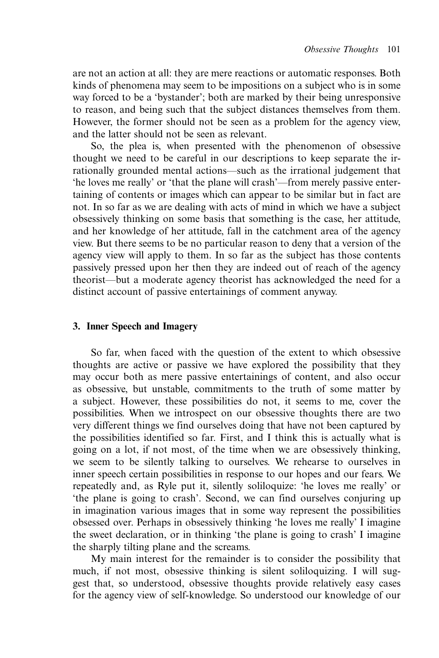are not an action at all: they are mere reactions or automatic responses. Both kinds of phenomena may seem to be impositions on a subject who is in some way forced to be a 'bystander'; both are marked by their being unresponsive to reason, and being such that the subject distances themselves from them. However, the former should not be seen as a problem for the agency view, and the latter should not be seen as relevant.

So, the plea is, when presented with the phenomenon of obsessive thought we need to be careful in our descriptions to keep separate the irrationally grounded mental actions—such as the irrational judgement that 'he loves me really' or 'that the plane will crash'—from merely passive entertaining of contents or images which can appear to be similar but in fact are not. In so far as we are dealing with acts of mind in which we have a subject obsessively thinking on some basis that something is the case, her attitude, and her knowledge of her attitude, fall in the catchment area of the agency view. But there seems to be no particular reason to deny that a version of the agency view will apply to them. In so far as the subject has those contents passively pressed upon her then they are indeed out of reach of the agency theorist—but a moderate agency theorist has acknowledged the need for a distinct account of passive entertainings of comment anyway.

## **3. Inner Speech and Imagery**

So far, when faced with the question of the extent to which obsessive thoughts are active or passive we have explored the possibility that they may occur both as mere passive entertainings of content, and also occur as obsessive, but unstable, commitments to the truth of some matter by a subject. However, these possibilities do not, it seems to me, cover the possibilities. When we introspect on our obsessive thoughts there are two very different things we find ourselves doing that have not been captured by the possibilities identified so far. First, and I think this is actually what is going on a lot, if not most, of the time when we are obsessively thinking, we seem to be silently talking to ourselves. We rehearse to ourselves in inner speech certain possibilities in response to our hopes and our fears. We repeatedly and, as Ryle put it, silently soliloquize: 'he loves me really' or 'the plane is going to crash'. Second, we can find ourselves conjuring up in imagination various images that in some way represent the possibilities obsessed over. Perhaps in obsessively thinking 'he loves me really' I imagine the sweet declaration, or in thinking 'the plane is going to crash' I imagine the sharply tilting plane and the screams.

My main interest for the remainder is to consider the possibility that much, if not most, obsessive thinking is silent soliloquizing. I will suggest that, so understood, obsessive thoughts provide relatively easy cases for the agency view of self-knowledge. So understood our knowledge of our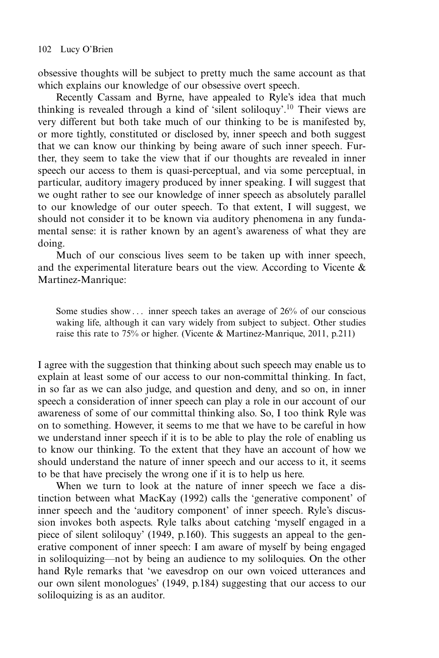obsessive thoughts will be subject to pretty much the same account as that which explains our knowledge of our obsessive overt speech.

Recently Cassam and Byrne, have appealed to Ryle's idea that much thinking is revealed through a kind of 'silent soliloquy'.10 Their views are very different but both take much of our thinking to be is manifested by, or more tightly, constituted or disclosed by, inner speech and both suggest that we can know our thinking by being aware of such inner speech. Further, they seem to take the view that if our thoughts are revealed in inner speech our access to them is quasi-perceptual, and via some perceptual, in particular, auditory imagery produced by inner speaking. I will suggest that we ought rather to see our knowledge of inner speech as absolutely parallel to our knowledge of our outer speech. To that extent, I will suggest, we should not consider it to be known via auditory phenomena in any fundamental sense: it is rather known by an agent's awareness of what they are doing.

Much of our conscious lives seem to be taken up with inner speech, and the experimental literature bears out the view. According to Vicente  $\&$ Martinez-Manrique:

Some studies show  $\ldots$  inner speech takes an average of 26% of our conscious waking life, although it can vary widely from subject to subject. Other studies raise this rate to 75% or higher. (Vicente & Martinez-Manrique, 2011, p.211)

I agree with the suggestion that thinking about such speech may enable us to explain at least some of our access to our non-committal thinking. In fact, in so far as we can also judge, and question and deny, and so on, in inner speech a consideration of inner speech can play a role in our account of our awareness of some of our committal thinking also. So, I too think Ryle was on to something. However, it seems to me that we have to be careful in how we understand inner speech if it is to be able to play the role of enabling us to know our thinking. To the extent that they have an account of how we should understand the nature of inner speech and our access to it, it seems to be that have precisely the wrong one if it is to help us here.

When we turn to look at the nature of inner speech we face a distinction between what MacKay (1992) calls the 'generative component' of inner speech and the 'auditory component' of inner speech. Ryle's discussion invokes both aspects. Ryle talks about catching 'myself engaged in a piece of silent soliloquy' (1949, p.160). This suggests an appeal to the generative component of inner speech: I am aware of myself by being engaged in soliloquizing—not by being an audience to my soliloquies. On the other hand Ryle remarks that 'we eavesdrop on our own voiced utterances and our own silent monologues' (1949, p.184) suggesting that our access to our soliloquizing is as an auditor.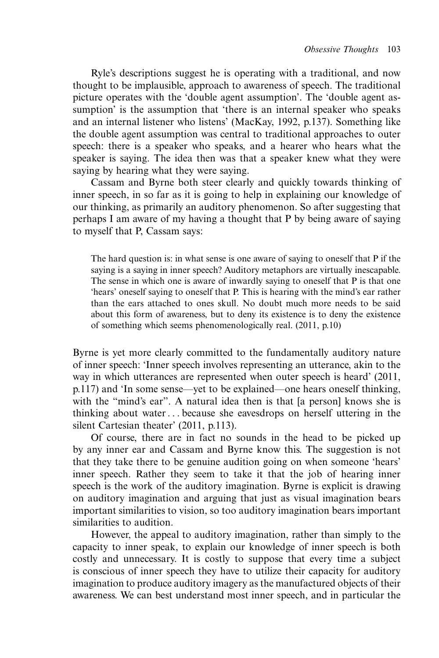Ryle's descriptions suggest he is operating with a traditional, and now thought to be implausible, approach to awareness of speech. The traditional picture operates with the 'double agent assumption'. The 'double agent assumption' is the assumption that 'there is an internal speaker who speaks and an internal listener who listens' (MacKay, 1992, p.137). Something like the double agent assumption was central to traditional approaches to outer speech: there is a speaker who speaks, and a hearer who hears what the speaker is saying. The idea then was that a speaker knew what they were saying by hearing what they were saying.

Cassam and Byrne both steer clearly and quickly towards thinking of inner speech, in so far as it is going to help in explaining our knowledge of our thinking, as primarily an auditory phenomenon. So after suggesting that perhaps I am aware of my having a thought that P by being aware of saying to myself that P, Cassam says:

The hard question is: in what sense is one aware of saying to oneself that P if the saying is a saying in inner speech? Auditory metaphors are virtually inescapable. The sense in which one is aware of inwardly saying to oneself that P is that one 'hears' oneself saying to oneself that P. This is hearing with the mind's ear rather than the ears attached to ones skull. No doubt much more needs to be said about this form of awareness, but to deny its existence is to deny the existence of something which seems phenomenologically real. (2011, p.10)

Byrne is yet more clearly committed to the fundamentally auditory nature of inner speech: 'Inner speech involves representing an utterance, akin to the way in which utterances are represented when outer speech is heard' (2011, p.117) and 'In some sense—yet to be explained—one hears oneself thinking, with the "mind's ear". A natural idea then is that [a person] knows she is thinking about water . . . because she eavesdrops on herself uttering in the silent Cartesian theater' (2011, p.113).

Of course, there are in fact no sounds in the head to be picked up by any inner ear and Cassam and Byrne know this. The suggestion is not that they take there to be genuine audition going on when someone 'hears' inner speech. Rather they seem to take it that the job of hearing inner speech is the work of the auditory imagination. Byrne is explicit is drawing on auditory imagination and arguing that just as visual imagination bears important similarities to vision, so too auditory imagination bears important similarities to audition.

However, the appeal to auditory imagination, rather than simply to the capacity to inner speak, to explain our knowledge of inner speech is both costly and unnecessary. It is costly to suppose that every time a subject is conscious of inner speech they have to utilize their capacity for auditory imagination to produce auditory imagery as the manufactured objects of their awareness. We can best understand most inner speech, and in particular the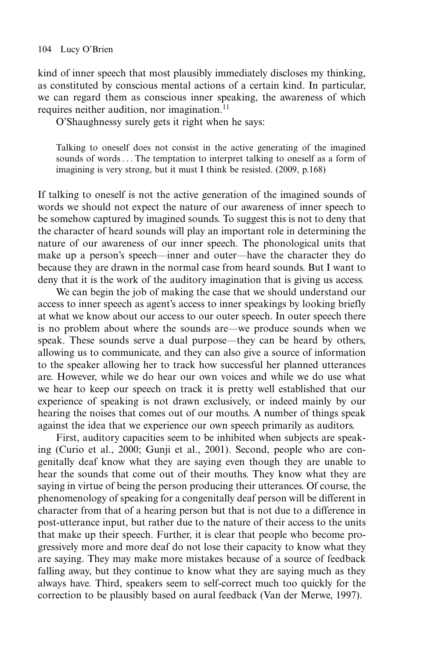## 104 Lucy O'Brien

kind of inner speech that most plausibly immediately discloses my thinking, as constituted by conscious mental actions of a certain kind. In particular, we can regard them as conscious inner speaking, the awareness of which requires neither audition, nor imagination. $^{11}$ 

O'Shaughnessy surely gets it right when he says:

Talking to oneself does not consist in the active generating of the imagined sounds of words . . . The temptation to interpret talking to oneself as a form of imagining is very strong, but it must I think be resisted. (2009, p.168)

If talking to oneself is not the active generation of the imagined sounds of words we should not expect the nature of our awareness of inner speech to be somehow captured by imagined sounds. To suggest this is not to deny that the character of heard sounds will play an important role in determining the nature of our awareness of our inner speech. The phonological units that make up a person's speech—inner and outer—have the character they do because they are drawn in the normal case from heard sounds. But I want to deny that it is the work of the auditory imagination that is giving us access.

We can begin the job of making the case that we should understand our access to inner speech as agent's access to inner speakings by looking briefly at what we know about our access to our outer speech. In outer speech there is no problem about where the sounds are—we produce sounds when we speak. These sounds serve a dual purpose—they can be heard by others, allowing us to communicate, and they can also give a source of information to the speaker allowing her to track how successful her planned utterances are. However, while we do hear our own voices and while we do use what we hear to keep our speech on track it is pretty well established that our experience of speaking is not drawn exclusively, or indeed mainly by our hearing the noises that comes out of our mouths. A number of things speak against the idea that we experience our own speech primarily as auditors.

First, auditory capacities seem to be inhibited when subjects are speaking (Curio et al., 2000; Gunji et al., 2001). Second, people who are congenitally deaf know what they are saying even though they are unable to hear the sounds that come out of their mouths. They know what they are saying in virtue of being the person producing their utterances. Of course, the phenomenology of speaking for a congenitally deaf person will be different in character from that of a hearing person but that is not due to a difference in post-utterance input, but rather due to the nature of their access to the units that make up their speech. Further, it is clear that people who become progressively more and more deaf do not lose their capacity to know what they are saying. They may make more mistakes because of a source of feedback falling away, but they continue to know what they are saying much as they always have. Third, speakers seem to self-correct much too quickly for the correction to be plausibly based on aural feedback (Van der Merwe, 1997).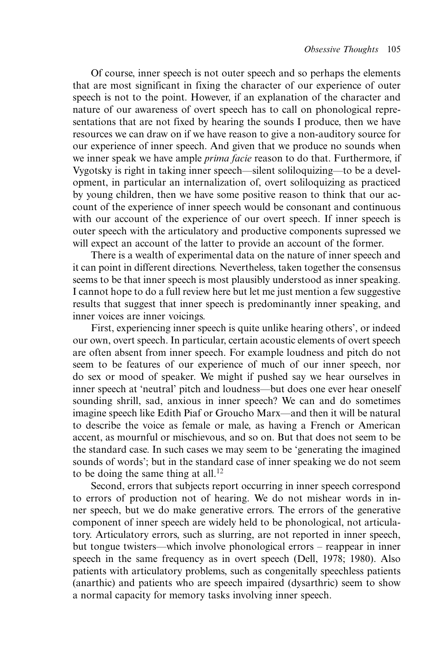Of course, inner speech is not outer speech and so perhaps the elements that are most significant in fixing the character of our experience of outer speech is not to the point. However, if an explanation of the character and nature of our awareness of overt speech has to call on phonological representations that are not fixed by hearing the sounds I produce, then we have resources we can draw on if we have reason to give a non-auditory source for our experience of inner speech. And given that we produce no sounds when we inner speak we have ample *prima facie* reason to do that. Furthermore, if Vygotsky is right in taking inner speech—silent soliloquizing—to be a development, in particular an internalization of, overt soliloquizing as practiced by young children, then we have some positive reason to think that our account of the experience of inner speech would be consonant and continuous with our account of the experience of our overt speech. If inner speech is outer speech with the articulatory and productive components supressed we will expect an account of the latter to provide an account of the former.

There is a wealth of experimental data on the nature of inner speech and it can point in different directions. Nevertheless, taken together the consensus seems to be that inner speech is most plausibly understood as inner speaking. I cannot hope to do a full review here but let me just mention a few suggestive results that suggest that inner speech is predominantly inner speaking, and inner voices are inner voicings.

First, experiencing inner speech is quite unlike hearing others', or indeed our own, overt speech. In particular, certain acoustic elements of overt speech are often absent from inner speech. For example loudness and pitch do not seem to be features of our experience of much of our inner speech, nor do sex or mood of speaker. We might if pushed say we hear ourselves in inner speech at 'neutral' pitch and loudness—but does one ever hear oneself sounding shrill, sad, anxious in inner speech? We can and do sometimes imagine speech like Edith Piaf or Groucho Marx—and then it will be natural to describe the voice as female or male, as having a French or American accent, as mournful or mischievous, and so on. But that does not seem to be the standard case. In such cases we may seem to be 'generating the imagined sounds of words'; but in the standard case of inner speaking we do not seem to be doing the same thing at all.<sup>12</sup>

Second, errors that subjects report occurring in inner speech correspond to errors of production not of hearing. We do not mishear words in inner speech, but we do make generative errors. The errors of the generative component of inner speech are widely held to be phonological, not articulatory. Articulatory errors, such as slurring, are not reported in inner speech, but tongue twisters—which involve phonological errors – reappear in inner speech in the same frequency as in overt speech (Dell, 1978; 1980). Also patients with articulatory problems, such as congenitally speechless patients (anarthic) and patients who are speech impaired (dysarthric) seem to show a normal capacity for memory tasks involving inner speech.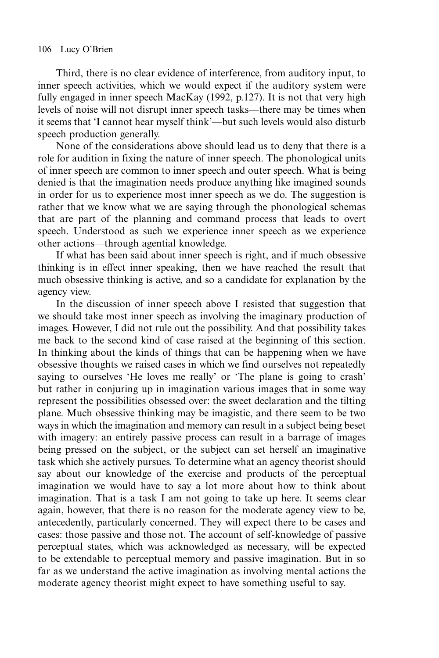## 106 Lucy O'Brien

Third, there is no clear evidence of interference, from auditory input, to inner speech activities, which we would expect if the auditory system were fully engaged in inner speech MacKay (1992, p.127). It is not that very high levels of noise will not disrupt inner speech tasks—there may be times when it seems that 'I cannot hear myself think'—but such levels would also disturb speech production generally.

None of the considerations above should lead us to deny that there is a role for audition in fixing the nature of inner speech. The phonological units of inner speech are common to inner speech and outer speech. What is being denied is that the imagination needs produce anything like imagined sounds in order for us to experience most inner speech as we do. The suggestion is rather that we know what we are saying through the phonological schemas that are part of the planning and command process that leads to overt speech. Understood as such we experience inner speech as we experience other actions—through agential knowledge.

If what has been said about inner speech is right, and if much obsessive thinking is in effect inner speaking, then we have reached the result that much obsessive thinking is active, and so a candidate for explanation by the agency view.

In the discussion of inner speech above I resisted that suggestion that we should take most inner speech as involving the imaginary production of images. However, I did not rule out the possibility. And that possibility takes me back to the second kind of case raised at the beginning of this section. In thinking about the kinds of things that can be happening when we have obsessive thoughts we raised cases in which we find ourselves not repeatedly saying to ourselves 'He loves me really' or 'The plane is going to crash' but rather in conjuring up in imagination various images that in some way represent the possibilities obsessed over: the sweet declaration and the tilting plane. Much obsessive thinking may be imagistic, and there seem to be two ways in which the imagination and memory can result in a subject being beset with imagery: an entirely passive process can result in a barrage of images being pressed on the subject, or the subject can set herself an imaginative task which she actively pursues. To determine what an agency theorist should say about our knowledge of the exercise and products of the perceptual imagination we would have to say a lot more about how to think about imagination. That is a task I am not going to take up here. It seems clear again, however, that there is no reason for the moderate agency view to be, antecedently, particularly concerned. They will expect there to be cases and cases: those passive and those not. The account of self-knowledge of passive perceptual states, which was acknowledged as necessary, will be expected to be extendable to perceptual memory and passive imagination. But in so far as we understand the active imagination as involving mental actions the moderate agency theorist might expect to have something useful to say.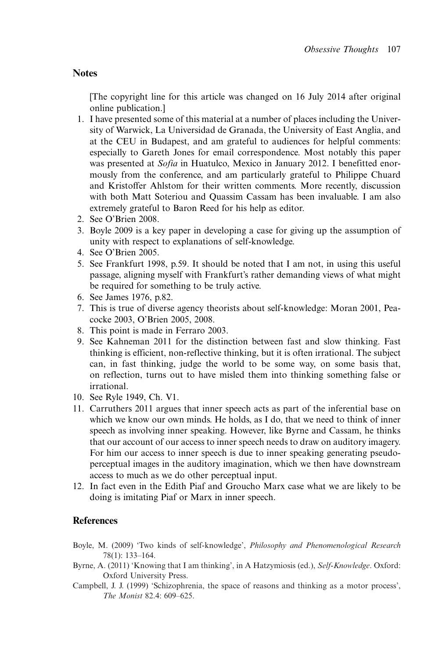## **Notes**

[The copyright line for this article was changed on 16 July 2014 after original online publication.]

- 1. I have presented some of this material at a number of places including the University of Warwick, La Universidad de Granada, the University of East Anglia, and at the CEU in Budapest, and am grateful to audiences for helpful comments: especially to Gareth Jones for email correspondence. Most notably this paper was presented at *Sofia* in Huatulco, Mexico in January 2012. I benefitted enormously from the conference, and am particularly grateful to Philippe Chuard and Kristoffer Ahlstom for their written comments. More recently, discussion with both Matt Soteriou and Quassim Cassam has been invaluable. I am also extremely grateful to Baron Reed for his help as editor.
- 2. See O'Brien 2008.
- 3. Boyle 2009 is a key paper in developing a case for giving up the assumption of unity with respect to explanations of self-knowledge.
- 4. See O'Brien 2005.
- 5. See Frankfurt 1998, p.59. It should be noted that I am not, in using this useful passage, aligning myself with Frankfurt's rather demanding views of what might be required for something to be truly active.
- 6. See James 1976, p.82.
- 7. This is true of diverse agency theorists about self-knowledge: Moran 2001, Peacocke 2003, O'Brien 2005, 2008.
- 8. This point is made in Ferraro 2003.
- 9. See Kahneman 2011 for the distinction between fast and slow thinking. Fast thinking is efficient, non-reflective thinking, but it is often irrational. The subject can, in fast thinking, judge the world to be some way, on some basis that, on reflection, turns out to have misled them into thinking something false or irrational.
- 10. See Ryle 1949, Ch. V1.
- 11. Carruthers 2011 argues that inner speech acts as part of the inferential base on which we know our own minds. He holds, as I do, that we need to think of inner speech as involving inner speaking. However, like Byrne and Cassam, he thinks that our account of our access to inner speech needs to draw on auditory imagery. For him our access to inner speech is due to inner speaking generating pseudoperceptual images in the auditory imagination, which we then have downstream access to much as we do other perceptual input.
- 12. In fact even in the Edith Piaf and Groucho Marx case what we are likely to be doing is imitating Piaf or Marx in inner speech.

# **References**

- Boyle, M. (2009) 'Two kinds of self-knowledge', *Philosophy and Phenomenological Research* 78(1): 133–164.
- Byrne, A. (2011) 'Knowing that I am thinking', in A Hatzymiosis (ed.), *Self-Knowledge*. Oxford: Oxford University Press.
- Campbell, J. J. (1999) 'Schizophrenia, the space of reasons and thinking as a motor process', *The Monist* 82.4: 609–625.